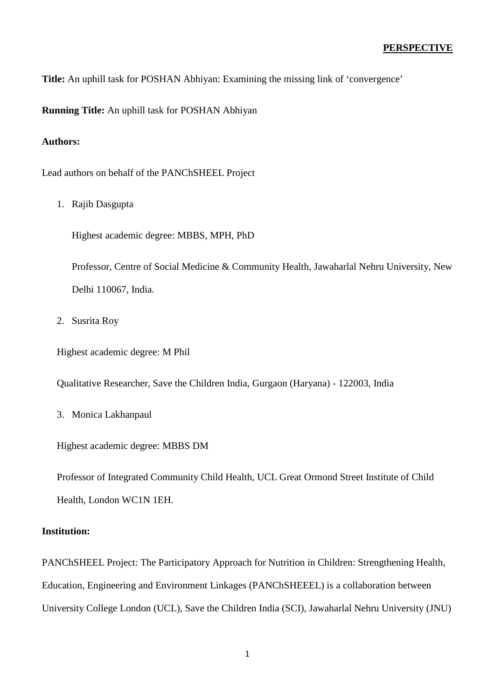**Title:** An uphill task for POSHAN Abhiyan: Examining the missing link of 'convergence'

**Running Title:** An uphill task for POSHAN Abhiyan

# **Authors:**

Lead authors on behalf of the PANChSHEEL Project

1. Rajib Dasgupta

Highest academic degree: MBBS, MPH, PhD

Professor, Centre of Social Medicine & Community Health, Jawaharlal Nehru University, New Delhi 110067, India.

2. Susrita Roy

Highest academic degree: M Phil

Qualitative Researcher, Save the Children India, Gurgaon (Haryana) - 122003, India

3. Monica Lakhanpaul

Highest academic degree: MBBS DM

Professor of Integrated Community Child Health, UCL Great Ormond Street Institute of Child Health, London WC1N 1EH.

## **Institution:**

PANChSHEEL Project: The Participatory Approach for Nutrition in Children: Strengthening Health, Education, Engineering and Environment Linkages (PANChSHEEEL) is a collaboration between University College London (UCL), Save the Children India (SCI), Jawaharlal Nehru University (JNU)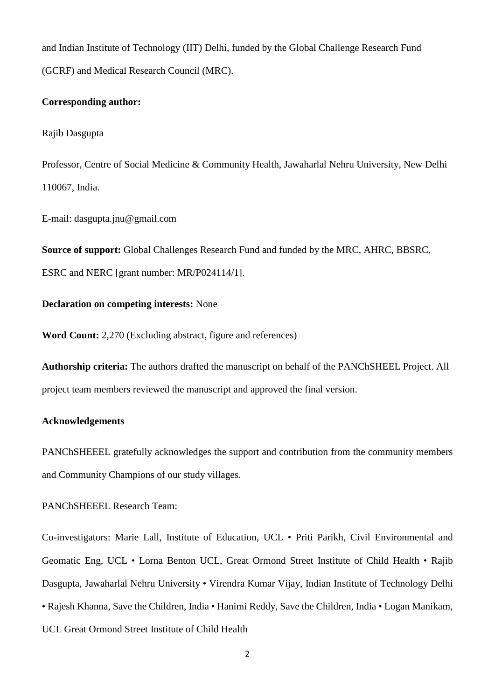and Indian Institute of Technology (IIT) Delhi, funded by the Global Challenge Research Fund (GCRF) and Medical Research Council (MRC).

### **Corresponding author:**

#### Rajib Dasgupta

Professor, Centre of Social Medicine & Community Health, Jawaharlal Nehru University, New Delhi 110067, India.

E-mail: dasgupta.jnu@gmail.com

**Source of support:** Global Challenges Research Fund and funded by the MRC, AHRC, BBSRC,

ESRC and NERC [grant number: MR/P024114/1].

#### **Declaration on competing interests:** None

**Word Count:** 2,270 (Excluding abstract, figure and references)

**Authorship criteria:** The authors drafted the manuscript on behalf of the PANChSHEEL Project. All project team members reviewed the manuscript and approved the final version.

### **Acknowledgements**

PANChSHEEEL gratefully acknowledges the support and contribution from the community members and Community Champions of our study villages.

PANChSHEEEL Research Team:

Co-investigators: Marie Lall, Institute of Education, UCL • Priti Parikh, Civil Environmental and Geomatic Eng, UCL • Lorna Benton UCL, Great Ormond Street Institute of Child Health • Rajib Dasgupta, Jawaharlal Nehru University • Virendra Kumar Vijay, Indian Institute of Technology Delhi • Rajesh Khanna, Save the Children, India • Hanimi Reddy, Save the Children, India • Logan Manikam, UCL Great Ormond Street Institute of Child Health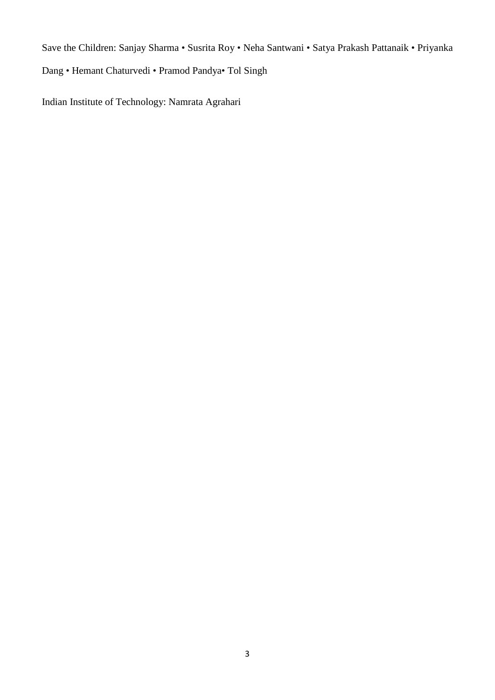Save the Children: Sanjay Sharma • Susrita Roy • Neha Santwani • Satya Prakash Pattanaik • Priyanka

Dang • Hemant Chaturvedi • Pramod Pandya• Tol Singh

Indian Institute of Technology: Namrata Agrahari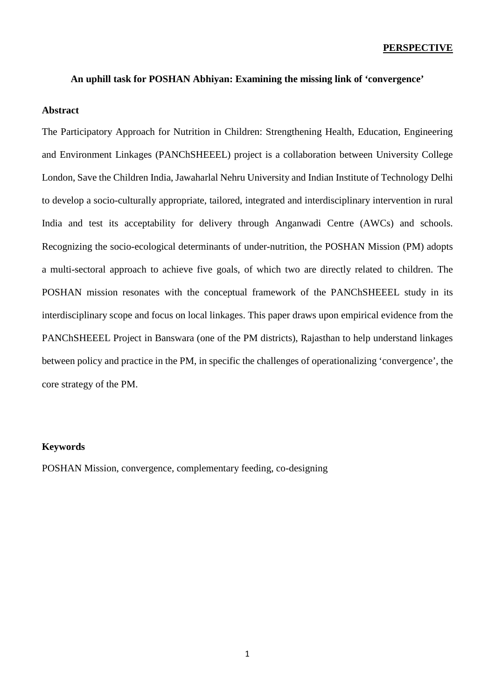#### **PERSPECTIVE**

#### **An uphill task for POSHAN Abhiyan: Examining the missing link of 'convergence'**

#### **Abstract**

The Participatory Approach for Nutrition in Children: Strengthening Health, Education, Engineering and Environment Linkages (PANChSHEEEL) project is a collaboration between University College London, Save the Children India, Jawaharlal Nehru University and Indian Institute of Technology Delhi to develop a socio-culturally appropriate, tailored, integrated and interdisciplinary intervention in rural India and test its acceptability for delivery through Anganwadi Centre (AWCs) and schools. Recognizing the socio-ecological determinants of under-nutrition, the POSHAN Mission (PM) adopts a multi-sectoral approach to achieve five goals, of which two are directly related to children. The POSHAN mission resonates with the conceptual framework of the PANChSHEEEL study in its interdisciplinary scope and focus on local linkages. This paper draws upon empirical evidence from the PANChSHEEEL Project in Banswara (one of the PM districts), Rajasthan to help understand linkages between policy and practice in the PM, in specific the challenges of operationalizing 'convergence', the core strategy of the PM.

#### **Keywords**

POSHAN Mission, convergence, complementary feeding, co-designing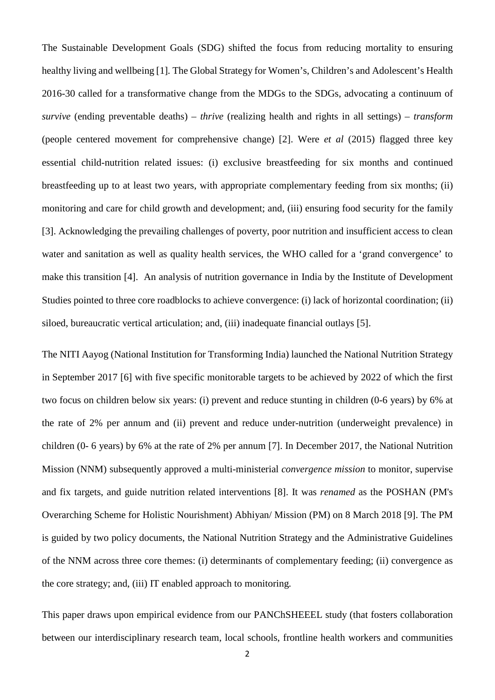The Sustainable Development Goals (SDG) shifted the focus from reducing mortality to ensuring healthy living and wellbeing [1]*.* The Global Strategy for Women's, Children's and Adolescent's Health 2016-30 called for a transformative change from the MDGs to the SDGs, advocating a continuum of *survive* (ending preventable deaths) – *thrive* (realizing health and rights in all settings) – *transform* (people centered movement for comprehensive change) [2]. Were *et al* (2015) flagged three key essential child-nutrition related issues: (i) exclusive breastfeeding for six months and continued breastfeeding up to at least two years, with appropriate complementary feeding from six months; (ii) monitoring and care for child growth and development; and, (iii) ensuring food security for the family [3]. Acknowledging the prevailing challenges of poverty, poor nutrition and insufficient access to clean water and sanitation as well as quality health services, the WHO called for a 'grand convergence' to make this transition [4]. An analysis of nutrition governance in India by the Institute of Development Studies pointed to three core roadblocks to achieve convergence: (i) lack of horizontal coordination; (ii) siloed, bureaucratic vertical articulation; and, (iii) inadequate financial outlays [5].

The NITI Aayog (National Institution for Transforming India) launched the National Nutrition Strategy in September 2017 [6] with five specific monitorable targets to be achieved by 2022 of which the first two focus on children below six years: (i) prevent and reduce stunting in children (0-6 years) by 6% at the rate of 2% per annum and (ii) prevent and reduce under-nutrition (underweight prevalence) in children (0- 6 years) by 6% at the rate of 2% per annum [7]. In December 2017, the National Nutrition Mission (NNM) subsequently approved a multi-ministerial *convergence mission* to monitor, supervise and fix targets, and guide nutrition related interventions [8]. It was *renamed* as the POSHAN (PM's Overarching Scheme for Holistic Nourishment) Abhiyan/ Mission (PM) on 8 March 2018 [9]. The PM is guided by two policy documents, the National Nutrition Strategy and the Administrative Guidelines of the NNM across three core themes: (i) determinants of complementary feeding; (ii) convergence as the core strategy; and, (iii) IT enabled approach to monitoring*.*

This paper draws upon empirical evidence from our PANChSHEEEL study (that fosters collaboration between our interdisciplinary research team, local schools, frontline health workers and communities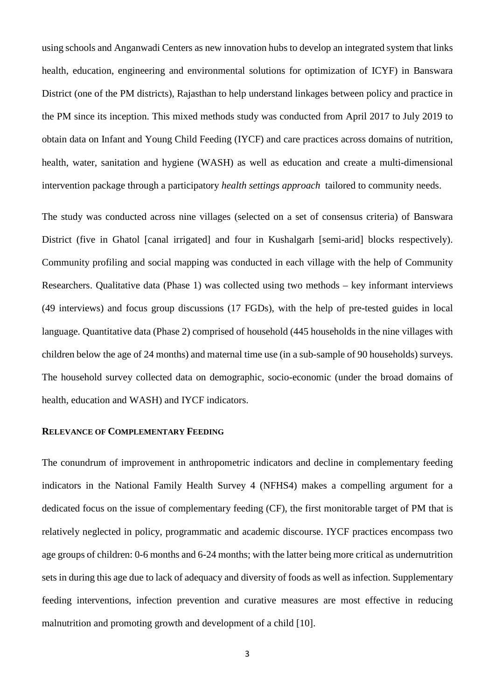using schools and Anganwadi Centers as new innovation hubs to develop an integrated system that links health, education, engineering and environmental solutions for optimization of ICYF) in Banswara District (one of the PM districts), Rajasthan to help understand linkages between policy and practice in the PM since its inception. This mixed methods study was conducted from April 2017 to July 2019 to obtain data on Infant and Young Child Feeding (IYCF) and care practices across domains of nutrition, health, water, sanitation and hygiene (WASH) as well as education and create a multi-dimensional intervention package through a participatory *health settings approach* tailored to community needs.

The study was conducted across nine villages (selected on a set of consensus criteria) of Banswara District (five in Ghatol [canal irrigated] and four in Kushalgarh [semi-arid] blocks respectively). Community profiling and social mapping was conducted in each village with the help of Community Researchers. Qualitative data (Phase 1) was collected using two methods – key informant interviews (49 interviews) and focus group discussions (17 FGDs), with the help of pre-tested guides in local language. Quantitative data (Phase 2) comprised of household (445 households in the nine villages with children below the age of 24 months) and maternal time use (in a sub-sample of 90 households) surveys. The household survey collected data on demographic, socio-economic (under the broad domains of health, education and WASH) and IYCF indicators.

### **RELEVANCE OF COMPLEMENTARY FEEDING**

The conundrum of improvement in anthropometric indicators and decline in complementary feeding indicators in the National Family Health Survey 4 (NFHS4) makes a compelling argument for a dedicated focus on the issue of complementary feeding (CF), the first monitorable target of PM that is relatively neglected in policy, programmatic and academic discourse. IYCF practices encompass two age groups of children: 0-6 months and 6-24 months; with the latter being more critical as undernutrition sets in during this age due to lack of adequacy and diversity of foods as well as infection. Supplementary feeding interventions, infection prevention and curative measures are most effective in reducing malnutrition and promoting growth and development of a child [10].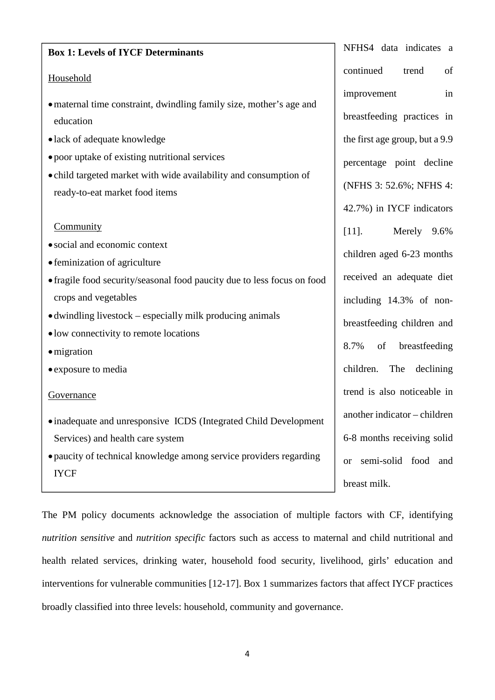| <b>Box 1: Levels of IYCF Determinants</b>                                                                                                                                                                                                                                                                                           | NFHS4 data indicates a                                                                                                                                                                                     |
|-------------------------------------------------------------------------------------------------------------------------------------------------------------------------------------------------------------------------------------------------------------------------------------------------------------------------------------|------------------------------------------------------------------------------------------------------------------------------------------------------------------------------------------------------------|
| Household                                                                                                                                                                                                                                                                                                                           | of<br>continued<br>trend                                                                                                                                                                                   |
| • maternal time constraint, dwindling family size, mother's age and<br>education<br>· lack of adequate knowledge                                                                                                                                                                                                                    | in<br>improvement<br>breastfeeding practices in<br>the first age group, but a 9.9                                                                                                                          |
| • poor uptake of existing nutritional services<br>• child targeted market with wide availability and consumption of<br>ready-to-eat market food items                                                                                                                                                                               | percentage point decline<br>(NFHS 3: 52.6%; NFHS 4:<br>42.7%) in IYCF indicators                                                                                                                           |
| Community<br>• social and economic context<br>• feminization of agriculture<br>• fragile food security/seasonal food paucity due to less focus on food<br>crops and vegetables<br>• dwindling livestock – especially milk producing animals<br>• low connectivity to remote locations<br>$\bullet$ migration<br>• exposure to media | Merely 9.6%<br>$[11]$ .<br>children aged 6-23 months<br>received an adequate diet<br>including 14.3% of non-<br>breastfeeding children and<br>8.7%<br>of<br>breastfeeding<br>children.<br>The<br>declining |
| Governance<br>• inadequate and unresponsive ICDS (Integrated Child Development<br>Services) and health care system<br>• paucity of technical knowledge among service providers regarding<br><b>IYCF</b>                                                                                                                             | trend is also noticeable in<br>another indicator – children<br>6-8 months receiving solid<br>semi-solid food and<br><b>or</b>                                                                              |
|                                                                                                                                                                                                                                                                                                                                     | breast milk.                                                                                                                                                                                               |

The PM policy documents acknowledge the association of multiple factors with CF, identifying *nutrition sensitive* and *nutrition specific* factors such as access to maternal and child nutritional and health related services, drinking water, household food security, livelihood, girls' education and interventions for vulnerable communities [12-17]. Box 1 summarizes factors that affect IYCF practices broadly classified into three levels: household, community and governance.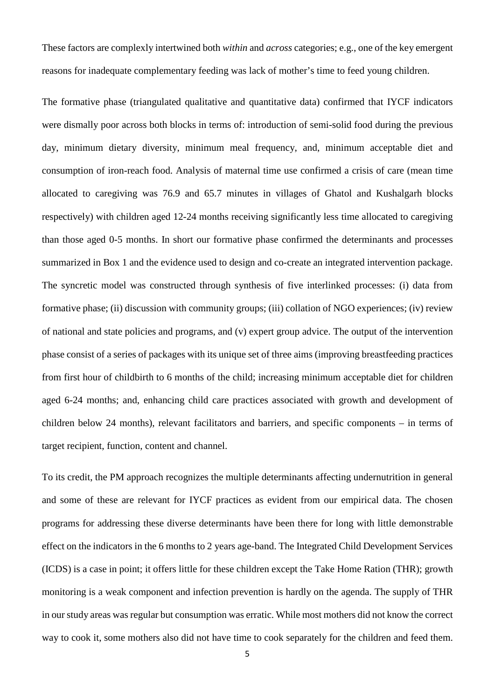These factors are complexly intertwined both *within* and *across* categories; e.g., one of the key emergent reasons for inadequate complementary feeding was lack of mother's time to feed young children.

The formative phase (triangulated qualitative and quantitative data) confirmed that IYCF indicators were dismally poor across both blocks in terms of: introduction of semi-solid food during the previous day, minimum dietary diversity, minimum meal frequency, and, minimum acceptable diet and consumption of iron-reach food. Analysis of maternal time use confirmed a crisis of care (mean time allocated to caregiving was 76.9 and 65.7 minutes in villages of Ghatol and Kushalgarh blocks respectively) with children aged 12-24 months receiving significantly less time allocated to caregiving than those aged 0-5 months. In short our formative phase confirmed the determinants and processes summarized in Box 1 and the evidence used to design and co-create an integrated intervention package. The syncretic model was constructed through synthesis of five interlinked processes: (i) data from formative phase; (ii) discussion with community groups; (iii) collation of NGO experiences; (iv) review of national and state policies and programs, and (v) expert group advice. The output of the intervention phase consist of a series of packages with its unique set of three aims (improving breastfeeding practices from first hour of childbirth to 6 months of the child; increasing minimum acceptable diet for children aged 6-24 months; and, enhancing child care practices associated with growth and development of children below 24 months), relevant facilitators and barriers, and specific components – in terms of target recipient, function, content and channel.

To its credit, the PM approach recognizes the multiple determinants affecting undernutrition in general and some of these are relevant for IYCF practices as evident from our empirical data. The chosen programs for addressing these diverse determinants have been there for long with little demonstrable effect on the indicators in the 6 months to 2 years age-band. The Integrated Child Development Services (ICDS) is a case in point; it offers little for these children except the Take Home Ration (THR); growth monitoring is a weak component and infection prevention is hardly on the agenda. The supply of THR in our study areas was regular but consumption was erratic. While most mothers did not know the correct way to cook it, some mothers also did not have time to cook separately for the children and feed them.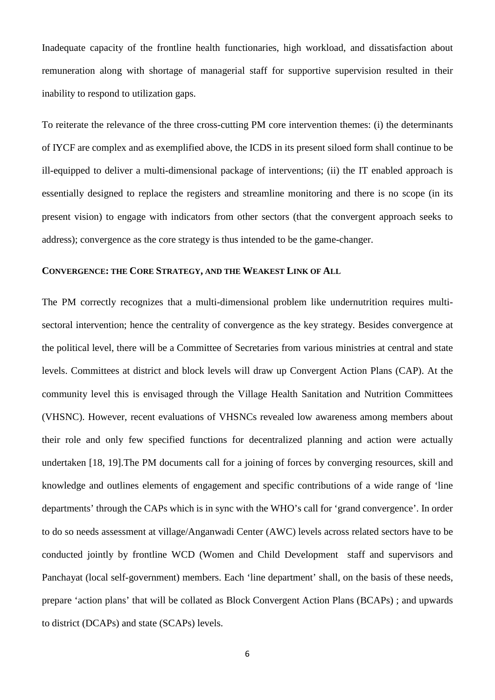Inadequate capacity of the frontline health functionaries, high workload, and dissatisfaction about remuneration along with shortage of managerial staff for supportive supervision resulted in their inability to respond to utilization gaps.

To reiterate the relevance of the three cross-cutting PM core intervention themes: (i) the determinants of IYCF are complex and as exemplified above, the ICDS in its present siloed form shall continue to be ill-equipped to deliver a multi-dimensional package of interventions; (ii) the IT enabled approach is essentially designed to replace the registers and streamline monitoring and there is no scope (in its present vision) to engage with indicators from other sectors (that the convergent approach seeks to address); convergence as the core strategy is thus intended to be the game-changer.

### **CONVERGENCE: THE CORE STRATEGY, AND THE WEAKEST LINK OF ALL**

The PM correctly recognizes that a multi-dimensional problem like undernutrition requires multisectoral intervention; hence the centrality of convergence as the key strategy. Besides convergence at the political level, there will be a Committee of Secretaries from various ministries at central and state levels. Committees at district and block levels will draw up Convergent Action Plans (CAP). At the community level this is envisaged through the Village Health Sanitation and Nutrition Committees (VHSNC). However, recent evaluations of VHSNCs revealed low awareness among members about their role and only few specified functions for decentralized planning and action were actually undertaken [18, 19].The PM documents call for a joining of forces by converging resources, skill and knowledge and outlines elements of engagement and specific contributions of a wide range of 'line departments' through the CAPs which is in sync with the WHO's call for 'grand convergence'. In order to do so needs assessment at village/Anganwadi Center (AWC) levels across related sectors have to be conducted jointly by frontline WCD (Women and Child Development staff and supervisors and Panchayat (local self-government) members. Each 'line department' shall, on the basis of these needs, prepare 'action plans' that will be collated as Block Convergent Action Plans (BCAPs) ; and upwards to district (DCAPs) and state (SCAPs) levels.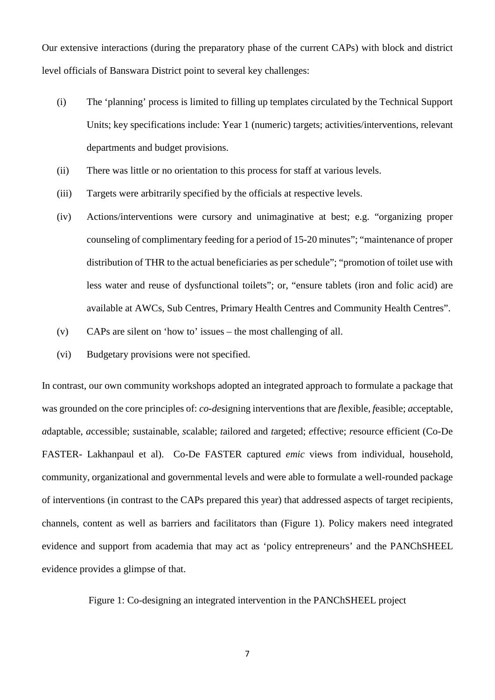Our extensive interactions (during the preparatory phase of the current CAPs) with block and district level officials of Banswara District point to several key challenges:

- (i) The 'planning' process is limited to filling up templates circulated by the Technical Support Units; key specifications include: Year 1 (numeric) targets; activities/interventions, relevant departments and budget provisions.
- (ii) There was little or no orientation to this process for staff at various levels.
- (iii) Targets were arbitrarily specified by the officials at respective levels.
- (iv) Actions/interventions were cursory and unimaginative at best; e.g. "organizing proper counseling of complimentary feeding for a period of 15-20 minutes"; "maintenance of proper distribution of THR to the actual beneficiaries as per schedule"; "promotion of toilet use with less water and reuse of dysfunctional toilets"; or, "ensure tablets (iron and folic acid) are available at AWCs, Sub Centres, Primary Health Centres and Community Health Centres".
- (v) CAPs are silent on 'how to' issues the most challenging of all.
- (vi) Budgetary provisions were not specified.

In contrast, our own community workshops adopted an integrated approach to formulate a package that was grounded on the core principles of: *co*-*de*signing interventions that are *f*lexible, *f*easible; *a*cceptable, *a*daptable, *a*ccessible; *s*ustainable, *s*calable; *t*ailored and *t*argeted; *e*ffective; *r*esource efficient (Co-De FASTER- Lakhanpaul et al). Co-De FASTER captured *emic* views from individual, household, community, organizational and governmental levels and were able to formulate a well-rounded package of interventions (in contrast to the CAPs prepared this year) that addressed aspects of target recipients, channels, content as well as barriers and facilitators than (Figure 1). Policy makers need integrated evidence and support from academia that may act as 'policy entrepreneurs' and the PANChSHEEL evidence provides a glimpse of that.

Figure 1: Co-designing an integrated intervention in the PANChSHEEL project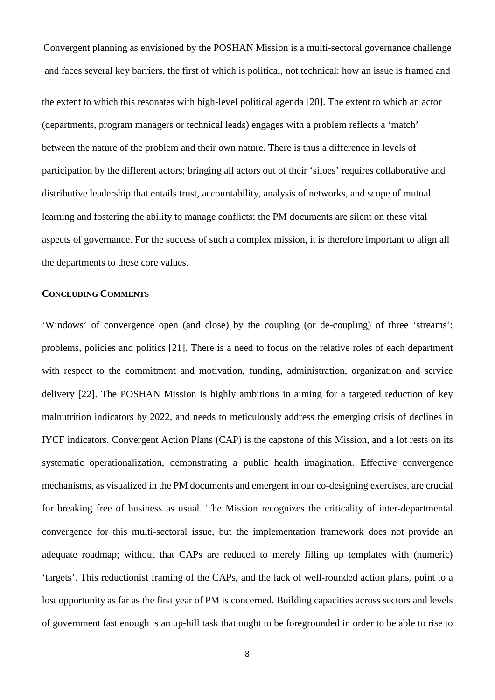Convergent planning as envisioned by the POSHAN Mission is a multi-sectoral governance challenge and faces several key barriers, the first of which is political, not technical: how an issue is framed and

the extent to which this resonates with high-level political agenda [20]. The extent to which an actor (departments, program managers or technical leads) engages with a problem reflects a 'match' between the nature of the problem and their own nature. There is thus a difference in levels of participation by the different actors; bringing all actors out of their 'siloes' requires collaborative and distributive leadership that entails trust, accountability, analysis of networks, and scope of mutual learning and fostering the ability to manage conflicts; the PM documents are silent on these vital aspects of governance. For the success of such a complex mission, it is therefore important to align all the departments to these core values.

#### **CONCLUDING COMMENTS**

'Windows' of convergence open (and close) by the coupling (or de-coupling) of three 'streams': problems, policies and politics [21]. There is a need to focus on the relative roles of each department with respect to the commitment and motivation, funding, administration, organization and service delivery [22]. The POSHAN Mission is highly ambitious in aiming for a targeted reduction of key malnutrition indicators by 2022, and needs to meticulously address the emerging crisis of declines in IYCF indicators. Convergent Action Plans (CAP) is the capstone of this Mission, and a lot rests on its systematic operationalization, demonstrating a public health imagination. Effective convergence mechanisms, as visualized in the PM documents and emergent in our co-designing exercises, are crucial for breaking free of business as usual. The Mission recognizes the criticality of inter-departmental convergence for this multi-sectoral issue, but the implementation framework does not provide an adequate roadmap; without that CAPs are reduced to merely filling up templates with (numeric) 'targets'. This reductionist framing of the CAPs, and the lack of well-rounded action plans, point to a lost opportunity as far as the first year of PM is concerned. Building capacities across sectors and levels of government fast enough is an up-hill task that ought to be foregrounded in order to be able to rise to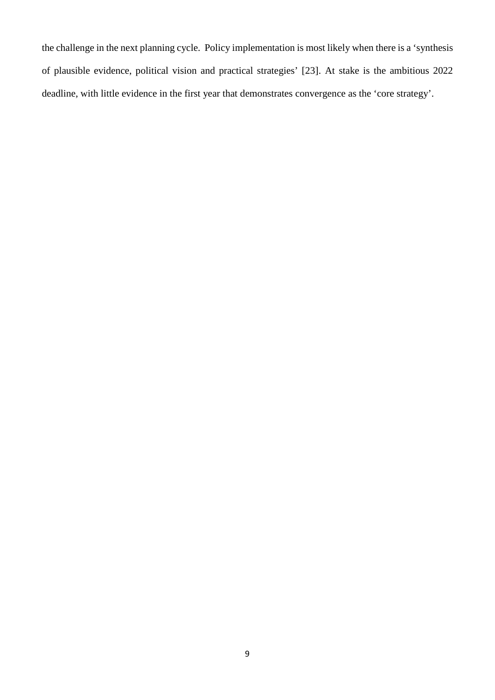the challenge in the next planning cycle. Policy implementation is most likely when there is a 'synthesis of plausible evidence, political vision and practical strategies' [23]. At stake is the ambitious 2022 deadline, with little evidence in the first year that demonstrates convergence as the 'core strategy'.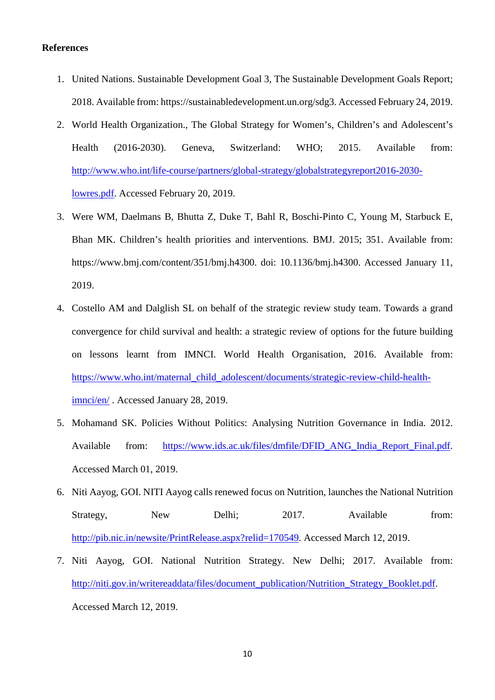#### **References**

- 1. United Nations. Sustainable Development Goal 3, The Sustainable Development Goals Report; 2018. Available from: https://sustainabledevelopment.un.org/sdg3. Accessed February 24, 2019.
- 2. World Health Organization., The Global Strategy for Women's, Children's and Adolescent's Health (2016-2030). Geneva, Switzerland: WHO; 2015. Available from: http://www.who.int/life-course/partners/global-strategy/globalstrategyreport2016-2030 lowres.pdf. Accessed February 20, 2019.
- 3. Were WM, Daelmans B, Bhutta Z, Duke T, Bahl R, Boschi-Pinto C, Young M, Starbuck E, Bhan MK. Children's health priorities and interventions. BMJ. 2015; 351. Available from: https://www.bmj.com/content/351/bmj.h4300. doi: 10.1136/bmj.h4300. Accessed January 11, 2019.
- 4. Costello AM and Dalglish SL on behalf of the strategic review study team. Towards a grand convergence for child survival and health: a strategic review of options for the future building on lessons learnt from IMNCI. World Health Organisation, 2016. Available from: https://www.who.int/maternal\_child\_adolescent/documents/strategic-review-child-healthimnci/en/ . Accessed January 28, 2019.
- 5. Mohamand SK. Policies Without Politics: Analysing Nutrition Governance in India. 2012. Available from: https://www.ids.ac.uk/files/dmfile/DFID\_ANG\_India\_Report\_Final.pdf. Accessed March 01, 2019.
- 6. Niti Aayog, GOI. NITI Aayog calls renewed focus on Nutrition, launches the National Nutrition Strategy, New Delhi; 2017. Available from: http://pib.nic.in/newsite/PrintRelease.aspx?relid=170549. Accessed March 12, 2019.
- 7. Niti Aayog, GOI. National Nutrition Strategy. New Delhi; 2017. Available from: http://niti.gov.in/writereaddata/files/document\_publication/Nutrition\_Strategy\_Booklet.pdf. Accessed March 12, 2019.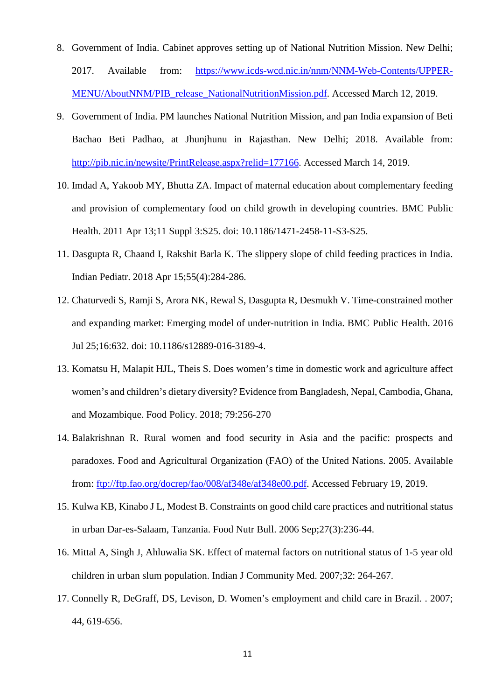- 8. Government of India. Cabinet approves setting up of National Nutrition Mission. New Delhi; 2017. Available from: https://www.icds-wcd.nic.in/nnm/NNM-Web-Contents/UPPER-MENU/AboutNNM/PIB\_release\_NationalNutritionMission.pdf. Accessed March 12, 2019.
- 9. Government of India. PM launches National Nutrition Mission, and pan India expansion of Beti Bachao Beti Padhao, at Jhunjhunu in Rajasthan. New Delhi; 2018. Available from: http://pib.nic.in/newsite/PrintRelease.aspx?relid=177166. Accessed March 14, 2019.
- 10. Imdad A, Yakoob MY, Bhutta ZA. Impact of maternal education about complementary feeding and provision of complementary food on child growth in developing countries. BMC Public Health. 2011 Apr 13;11 Suppl 3:S25. doi: 10.1186/1471-2458-11-S3-S25.
- 11. Dasgupta R, Chaand I, Rakshit Barla K. The slippery slope of child feeding practices in India. Indian Pediatr. 2018 Apr 15;55(4):284-286.
- 12. Chaturvedi S, Ramji S, Arora NK, Rewal S, Dasgupta R, Desmukh V. Time-constrained mother and expanding market: Emerging model of under-nutrition in India. BMC Public Health. 2016 Jul 25;16:632. doi: 10.1186/s12889-016-3189-4.
- 13. Komatsu H, Malapit HJL, Theis S. Does women's time in domestic work and agriculture affect women's and children's dietary diversity? Evidence from Bangladesh, Nepal, Cambodia, Ghana, and Mozambique. Food Policy. 2018; 79:256-270
- 14. Balakrishnan R. Rural women and food security in Asia and the pacific: prospects and paradoxes. Food and Agricultural Organization (FAO) of the United Nations. 2005. Available from: ftp://ftp.fao.org/docrep/fao/008/af348e/af348e00.pdf. Accessed February 19, 2019.
- 15. Kulwa KB, Kinabo J L, Modest B. Constraints on good child care practices and nutritional status in urban Dar-es-Salaam, Tanzania. Food Nutr Bull. 2006 Sep;27(3):236-44.
- 16. Mittal A, Singh J, Ahluwalia SK. Effect of maternal factors on nutritional status of 1-5 year old children in urban slum population. Indian J Community Med. 2007;32: 264-267.
- 17. Connelly R, DeGraff, DS, Levison, D. Women's employment and child care in Brazil. . 2007; 44, 619-656.